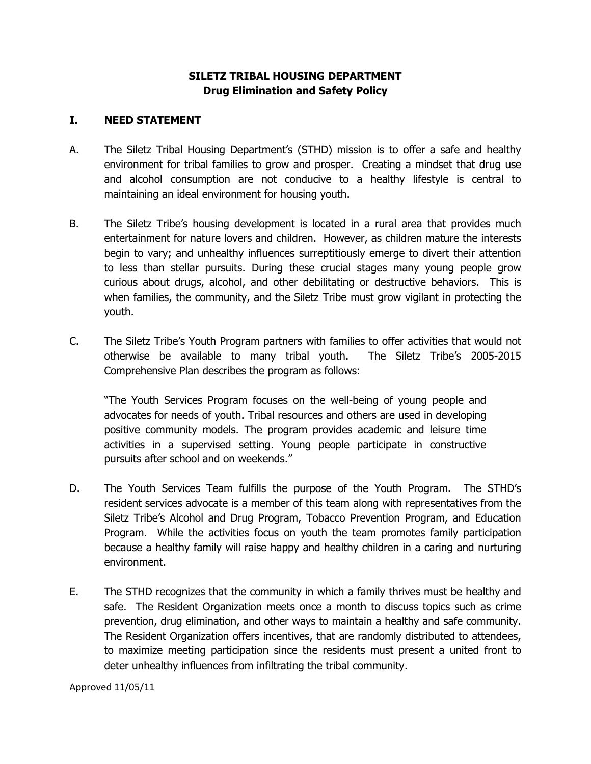# **SILETZ TRIBAL HOUSING DEPARTMENT Drug Elimination and Safety Policy**

## **I. NEED STATEMENT**

- A. The Siletz Tribal Housing Department's (STHD) mission is to offer a safe and healthy environment for tribal families to grow and prosper. Creating a mindset that drug use and alcohol consumption are not conducive to a healthy lifestyle is central to maintaining an ideal environment for housing youth.
- B. The Siletz Tribe's housing development is located in a rural area that provides much entertainment for nature lovers and children. However, as children mature the interests begin to vary; and unhealthy influences surreptitiously emerge to divert their attention to less than stellar pursuits. During these crucial stages many young people grow curious about drugs, alcohol, and other debilitating or destructive behaviors. This is when families, the community, and the Siletz Tribe must grow vigilant in protecting the youth.
- C. The Siletz Tribe's Youth Program partners with families to offer activities that would not otherwise be available to many tribal youth. The Siletz Tribe's 2005-2015 Comprehensive Plan describes the program as follows:

"The Youth Services Program focuses on the well-being of young people and advocates for needs of youth. Tribal resources and others are used in developing positive community models. The program provides academic and leisure time activities in a supervised setting. Young people participate in constructive pursuits after school and on weekends."

- D. The Youth Services Team fulfills the purpose of the Youth Program. The STHD's resident services advocate is a member of this team along with representatives from the Siletz Tribe's Alcohol and Drug Program, Tobacco Prevention Program, and Education Program. While the activities focus on youth the team promotes family participation because a healthy family will raise happy and healthy children in a caring and nurturing environment.
- E. The STHD recognizes that the community in which a family thrives must be healthy and safe. The Resident Organization meets once a month to discuss topics such as crime prevention, drug elimination, and other ways to maintain a healthy and safe community. The Resident Organization offers incentives, that are randomly distributed to attendees, to maximize meeting participation since the residents must present a united front to deter unhealthy influences from infiltrating the tribal community.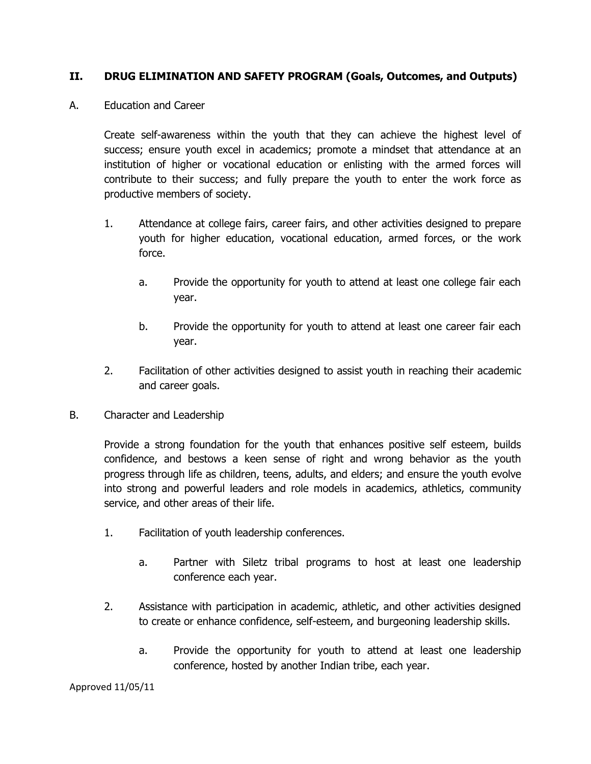## **II. DRUG ELIMINATION AND SAFETY PROGRAM (Goals, Outcomes, and Outputs)**

A. Education and Career

Create self-awareness within the youth that they can achieve the highest level of success; ensure youth excel in academics; promote a mindset that attendance at an institution of higher or vocational education or enlisting with the armed forces will contribute to their success; and fully prepare the youth to enter the work force as productive members of society.

- 1. Attendance at college fairs, career fairs, and other activities designed to prepare youth for higher education, vocational education, armed forces, or the work force.
	- a. Provide the opportunity for youth to attend at least one college fair each year.
	- b. Provide the opportunity for youth to attend at least one career fair each year.
- 2. Facilitation of other activities designed to assist youth in reaching their academic and career goals.
- B. Character and Leadership

Provide a strong foundation for the youth that enhances positive self esteem, builds confidence, and bestows a keen sense of right and wrong behavior as the youth progress through life as children, teens, adults, and elders; and ensure the youth evolve into strong and powerful leaders and role models in academics, athletics, community service, and other areas of their life.

- 1. Facilitation of youth leadership conferences.
	- a. Partner with Siletz tribal programs to host at least one leadership conference each year.
- 2. Assistance with participation in academic, athletic, and other activities designed to create or enhance confidence, self-esteem, and burgeoning leadership skills.
	- a. Provide the opportunity for youth to attend at least one leadership conference, hosted by another Indian tribe, each year.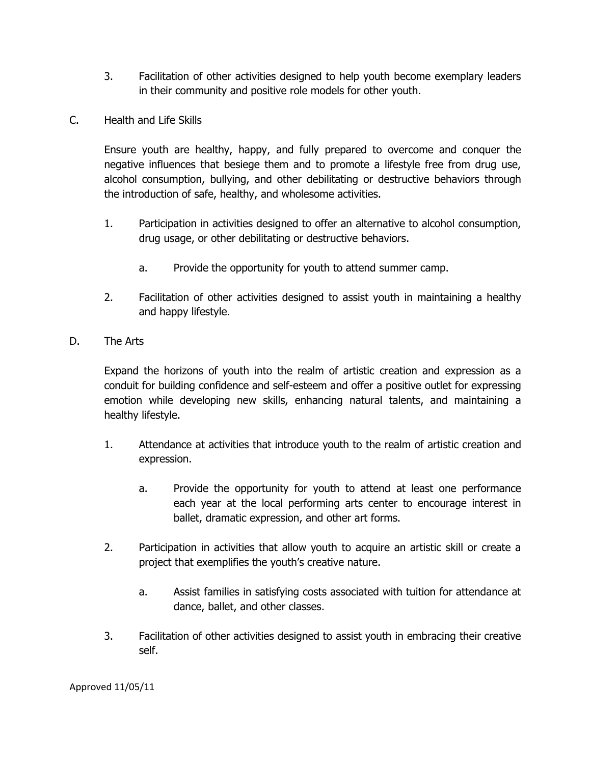- 3. Facilitation of other activities designed to help youth become exemplary leaders in their community and positive role models for other youth.
- C. Health and Life Skills

Ensure youth are healthy, happy, and fully prepared to overcome and conquer the negative influences that besiege them and to promote a lifestyle free from drug use, alcohol consumption, bullying, and other debilitating or destructive behaviors through the introduction of safe, healthy, and wholesome activities.

- 1. Participation in activities designed to offer an alternative to alcohol consumption, drug usage, or other debilitating or destructive behaviors.
	- a. Provide the opportunity for youth to attend summer camp.
- 2. Facilitation of other activities designed to assist youth in maintaining a healthy and happy lifestyle.
- D. The Arts

Expand the horizons of youth into the realm of artistic creation and expression as a conduit for building confidence and self-esteem and offer a positive outlet for expressing emotion while developing new skills, enhancing natural talents, and maintaining a healthy lifestyle.

- 1. Attendance at activities that introduce youth to the realm of artistic creation and expression.
	- a. Provide the opportunity for youth to attend at least one performance each year at the local performing arts center to encourage interest in ballet, dramatic expression, and other art forms.
- 2. Participation in activities that allow youth to acquire an artistic skill or create a project that exemplifies the youth's creative nature.
	- a. Assist families in satisfying costs associated with tuition for attendance at dance, ballet, and other classes.
- 3. Facilitation of other activities designed to assist youth in embracing their creative self.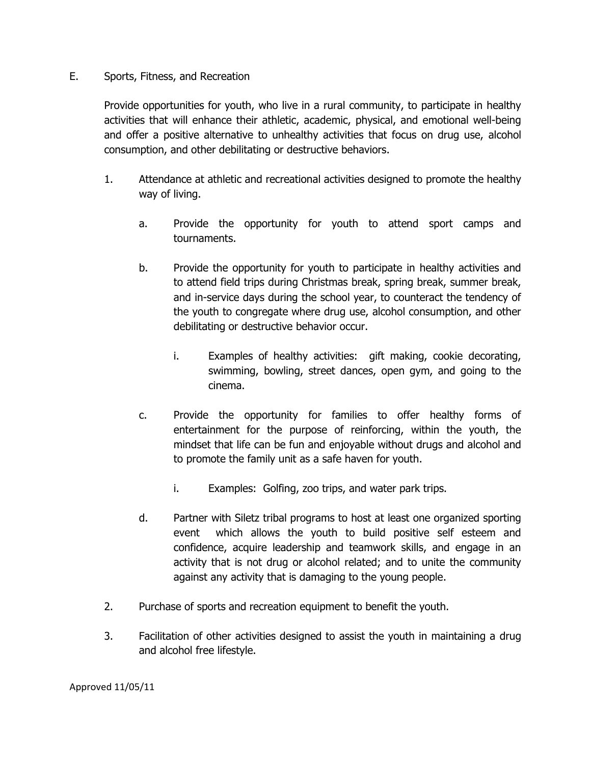### E. Sports, Fitness, and Recreation

Provide opportunities for youth, who live in a rural community, to participate in healthy activities that will enhance their athletic, academic, physical, and emotional well-being and offer a positive alternative to unhealthy activities that focus on drug use, alcohol consumption, and other debilitating or destructive behaviors.

- 1. Attendance at athletic and recreational activities designed to promote the healthy way of living.
	- a. Provide the opportunity for youth to attend sport camps and tournaments.
	- b. Provide the opportunity for youth to participate in healthy activities and to attend field trips during Christmas break, spring break, summer break, and in-service days during the school year, to counteract the tendency of the youth to congregate where drug use, alcohol consumption, and other debilitating or destructive behavior occur.
		- i. Examples of healthy activities: gift making, cookie decorating, swimming, bowling, street dances, open gym, and going to the cinema.
	- c. Provide the opportunity for families to offer healthy forms of entertainment for the purpose of reinforcing, within the youth, the mindset that life can be fun and enjoyable without drugs and alcohol and to promote the family unit as a safe haven for youth.
		- i. Examples: Golfing, zoo trips, and water park trips.
	- d. Partner with Siletz tribal programs to host at least one organized sporting event which allows the youth to build positive self esteem and confidence, acquire leadership and teamwork skills, and engage in an activity that is not drug or alcohol related; and to unite the community against any activity that is damaging to the young people.
- 2. Purchase of sports and recreation equipment to benefit the youth.
- 3. Facilitation of other activities designed to assist the youth in maintaining a drug and alcohol free lifestyle.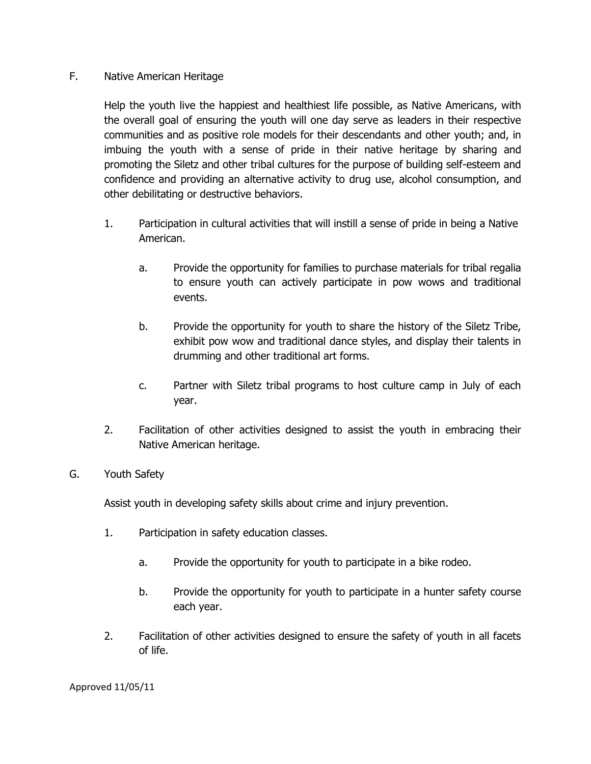### F. Native American Heritage

Help the youth live the happiest and healthiest life possible, as Native Americans, with the overall goal of ensuring the youth will one day serve as leaders in their respective communities and as positive role models for their descendants and other youth; and, in imbuing the youth with a sense of pride in their native heritage by sharing and promoting the Siletz and other tribal cultures for the purpose of building self-esteem and confidence and providing an alternative activity to drug use, alcohol consumption, and other debilitating or destructive behaviors.

- 1. Participation in cultural activities that will instill a sense of pride in being a Native American.
	- a. Provide the opportunity for families to purchase materials for tribal regalia to ensure youth can actively participate in pow wows and traditional events.
	- b. Provide the opportunity for youth to share the history of the Siletz Tribe, exhibit pow wow and traditional dance styles, and display their talents in drumming and other traditional art forms.
	- c. Partner with Siletz tribal programs to host culture camp in July of each year.
- 2. Facilitation of other activities designed to assist the youth in embracing their Native American heritage.

## G. Youth Safety

Assist youth in developing safety skills about crime and injury prevention.

- 1. Participation in safety education classes.
	- a. Provide the opportunity for youth to participate in a bike rodeo.
	- b. Provide the opportunity for youth to participate in a hunter safety course each year.
- 2. Facilitation of other activities designed to ensure the safety of youth in all facets of life.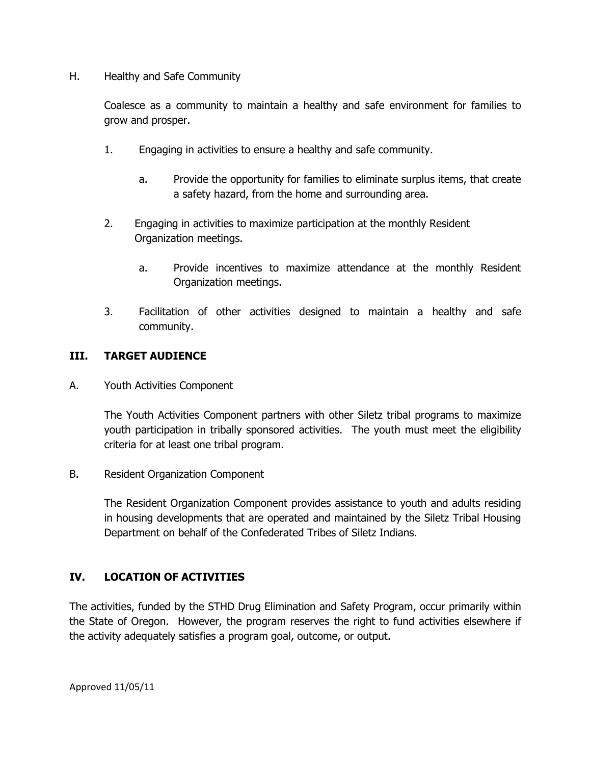H. Healthy and Safe Community

Coalesce as a community to maintain a healthy and safe environment for families to grow and prosper.

- 1. Engaging in activities to ensure a healthy and safe community.
	- a. Provide the opportunity for families to eliminate surplus items, that create a safety hazard, from the home and surrounding area.
- 2. Engaging in activities to maximize participation at the monthly Resident Organization meetings.
	- a. Provide incentives to maximize attendance at the monthly Resident Organization meetings.
- 3. Facilitation of other activities designed to maintain a healthy and safe community.

# **III. TARGET AUDIENCE**

A. Youth Activities Component

The Youth Activities Component partners with other Siletz tribal programs to maximize youth participation in tribally sponsored activities. The youth must meet the eligibility criteria for at least one tribal program.

B. Resident Organization Component

The Resident Organization Component provides assistance to youth and adults residing in housing developments that are operated and maintained by the Siletz Tribal Housing Department on behalf of the Confederated Tribes of Siletz Indians.

## **IV. LOCATION OF ACTIVITIES**

The activities, funded by the STHD Drug Elimination and Safety Program, occur primarily within the State of Oregon. However, the program reserves the right to fund activities elsewhere if the activity adequately satisfies a program goal, outcome, or output.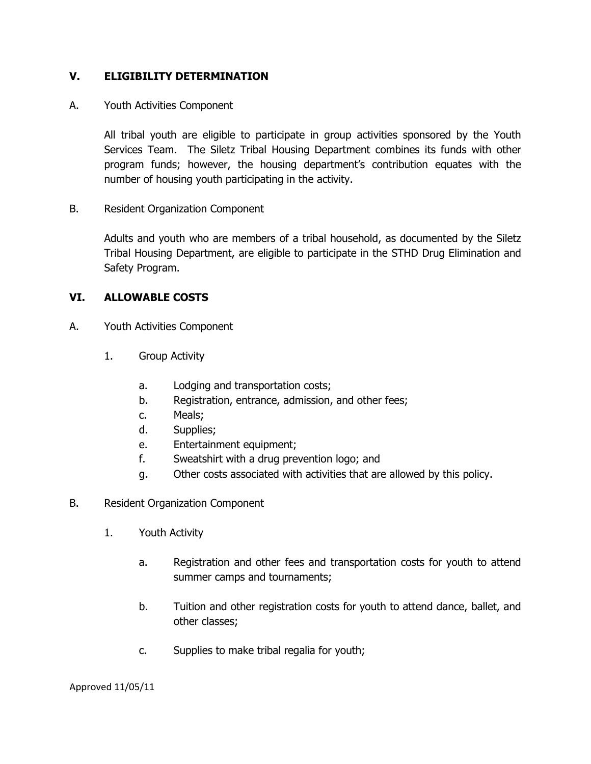## **V. ELIGIBILITY DETERMINATION**

### A. Youth Activities Component

All tribal youth are eligible to participate in group activities sponsored by the Youth Services Team. The Siletz Tribal Housing Department combines its funds with other program funds; however, the housing department's contribution equates with the number of housing youth participating in the activity.

B. Resident Organization Component

Adults and youth who are members of a tribal household, as documented by the Siletz Tribal Housing Department, are eligible to participate in the STHD Drug Elimination and Safety Program.

### **VI. ALLOWABLE COSTS**

- A. Youth Activities Component
	- 1. Group Activity
		- a. Lodging and transportation costs;
		- b. Registration, entrance, admission, and other fees;
		- c. Meals;
		- d. Supplies;
		- e. Entertainment equipment;
		- f. Sweatshirt with a drug prevention logo; and
		- g. Other costs associated with activities that are allowed by this policy.
- B. Resident Organization Component
	- 1. Youth Activity
		- a. Registration and other fees and transportation costs for youth to attend summer camps and tournaments;
		- b. Tuition and other registration costs for youth to attend dance, ballet, and other classes;
		- c. Supplies to make tribal regalia for youth;